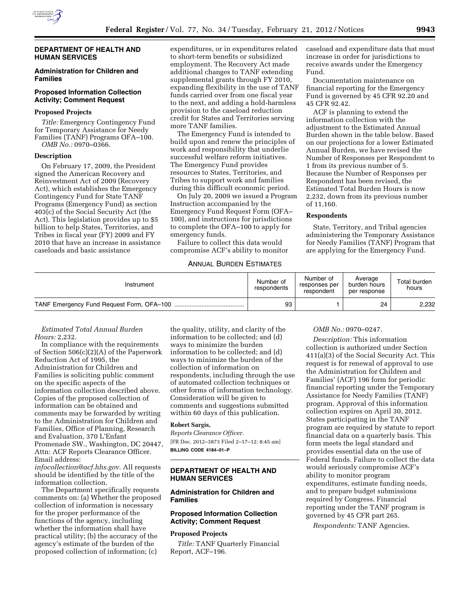

#### **DEPARTMENT OF HEALTH AND HUMAN SERVICES**

### **Administration for Children and Families**

## **Proposed Information Collection Activity; Comment Request**

## **Proposed Projects**

*Title:* Emergency Contingency Fund for Temporary Assistance for Needy Families (TANF) Programs OFA–100. *OMB No.:* 0970–0366.

#### **Description**

On February 17, 2009, the President signed the American Recovery and Reinvestment Act of 2009 (Recovery Act), which establishes the Emergency Contingency Fund for State TANF Programs (Emergency Fund) as section 403(c) of the Social Security Act (the Act). This legislation provides up to \$5 billion to help States, Territories, and Tribes in fiscal year (FY) 2009 and FY 2010 that have an increase in assistance caseloads and basic assistance

expenditures, or in expenditures related to short-term benefits or subsidized employment. The Recovery Act made additional changes to TANF extending supplemental grants through FY 2010, expanding flexibility in the use of TANF funds carried over from one fiscal year to the next, and adding a hold-harmless provision to the caseload reduction credit for States and Territories serving more TANF families.

The Emergency Fund is intended to build upon and renew the principles of work and responsibility that underlie successful welfare reform initiatives. The Emergency Fund provides resources to States, Territories, and Tribes to support work and families during this difficult economic period.

On July 20, 2009 we issued a Program Instruction accompanied by the Emergency Fund Request Form (OFA– 100), and instructions for jurisdictions to complete the OFA–100 to apply for emergency funds.

Failure to collect this data would compromise ACF's ability to monitor

## ANNUAL BURDEN ESTIMATES

caseload and expenditure data that must increase in order for jurisdictions to receive awards under the Emergency Fund.

Documentation maintenance on financial reporting for the Emergency Fund is governed by 45 CFR 92.20 and 45 CFR 92.42.

ACF is planning to extend the information collection with the adjustment to the Estimated Annual Burden shown in the table below. Based on our projections for a lower Estimated Annual Burden, we have revised the Number of Responses per Respondent to 1 from its previous number of 5. Because the Number of Responses per Respondent has been revised, the Estimated Total Burden Hours is now 2,232, down from its previous number of 11,160.

#### **Respondents**

State, Territory, and Tribal agencies administering the Temporary Assistance for Needy Families (TANF) Program that are applying for the Emergency Fund.

| Instrument | Number of<br>respondents | Number of<br>responses per<br>respondent | Average<br>burden hours<br>per response | Total burden<br>hours |
|------------|--------------------------|------------------------------------------|-----------------------------------------|-----------------------|
|            | 93                       |                                          | 24                                      | 2,232                 |

#### *Estimated Total Annual Burden Hours:* 2,232.

In compliance with the requirements of Section 506(c)(2)(A) of the Paperwork Reduction Act of 1995, the Administration for Children and Families is soliciting public comment on the specific aspects of the information collection described above. Copies of the proposed collection of information can be obtained and comments may be forwarded by writing to the Administration for Children and Families, Office of Planning, Research and Evaluation, 370 L'Enfant Promenade SW., Washington, DC 20447, Attn: ACF Reports Clearance Officer. Email address:

*[infocollection@acf.hhs.gov](mailto:infocollection@acf.hhs.gov)*. All requests should be identified by the title of the information collection.

The Department specifically requests comments on: (a) Whether the proposed collection of information is necessary for the proper performance of the functions of the agency, including whether the information shall have practical utility; (b) the accuracy of the agency's estimate of the burden of the proposed collection of information; (c)

the quality, utility, and clarity of the information to be collected; and (d) ways to minimize the burden information to be collected; and (d) ways to minimize the burden of the collection of information on respondents, including through the use of automated collection techniques or other forms of information technology. Consideration will be given to comments and suggestions submitted within 60 days of this publication.

## **Robert Sargis,**

*Reports Clearance Officer.*  [FR Doc. 2012–3873 Filed 2–17–12; 8:45 am] **BILLING CODE 4184–01–P** 

# **DEPARTMENT OF HEALTH AND HUMAN SERVICES**

# **Administration for Children and Families**

# **Proposed Information Collection Activity; Comment Request**

#### **Proposed Projects**

*Title:* TANF Quarterly Financial Report, ACF–196.

#### *OMB No.:* 0970–0247.

*Description:* This information collection is authorized under Section 411(a)(3) of the Social Security Act. This request is for renewal of approval to use the Administration for Children and Families' (ACF) 196 form for periodic financial reporting under the Temporary Assistance for Needy Families (TANF) program. Approval of this information collection expires on April 30, 2012. States participating in the TANF program are required by statute to report financial data on a quarterly basis. This form meets the legal standard and provides essential data on the use of Federal funds. Failure to collect the data would seriously compromise ACF's ability to monitor program expenditures, estimate funding needs, and to prepare budget submissions required by Congress. Financial reporting under the TANF program is governed by 45 CFR part 265.

*Respondents:* TANF Agencies.